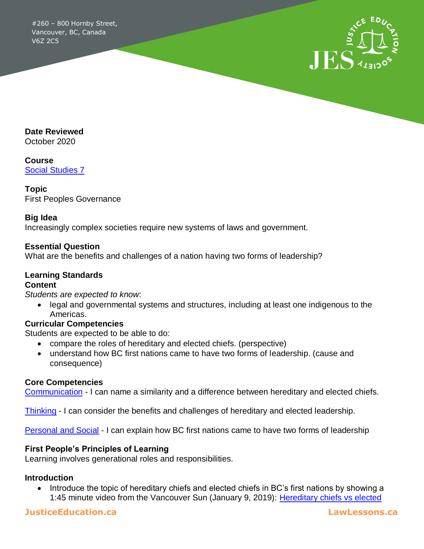#260 – 800 Hornby Street, Vancouver, BC, Canada V6Z 2C5



**Date Reviewed**

October 2020

**Course** [Social Studies 7](https://curriculum.gov.bc.ca/curriculum/social-studies/7)

**Topic** First Peoples Governance

#### **Big Idea**

Increasingly complex societies require new systems of laws and government.

#### **Essential Question**

What are the benefits and challenges of a nation having two forms of leadership?

# **Learning Standards**

### **Content**

*Students are expected to know*:

 legal and governmental systems and structures, including at least one indigenous to the Americas.

#### **Curricular Competencies**

Students are expected to be able to do:

- compare the roles of hereditary and elected chiefs. (perspective)
- understand how BC first nations came to have two forms of leadership. (cause and consequence)

#### **Core Competencies**

[Communication](https://curriculum.gov.bc.ca/competencies/communication) - I can name a similarity and a difference between hereditary and elected chiefs.

[Thinking](https://curriculum.gov.bc.ca/competencies/thinking) - I can consider the benefits and challenges of hereditary and elected leadership.

[Personal and Social](https://curriculum.gov.bc.ca/competencies/personal-and-social) - I can explain how BC first nations came to have two forms of leadership

#### **First People's Principles of Learning**

Learning involves generational roles and responsibilities.

#### **Introduction**

• Introduce the topic of hereditary chiefs and elected chiefs in BC's first nations by showing a 1:45 minute video from the Vancouver Sun (January 9, 2019): Hereditary chiefs vs elected

### **JusticeEducation.ca LawLessons.ca**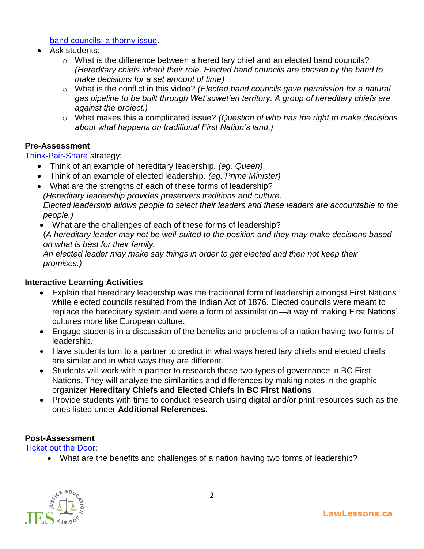[band councils: a thorny issue.](https://www.youtube.com/watch?v=IKgydmNmSH0&feature=emb_logo)

- Ask students:
	- o What is the difference between a hereditary chief and an elected band councils? *(Hereditary chiefs inherit their role. Elected band councils are chosen by the band to make decisions for a set amount of time)*
	- o What is the conflict in this video? *(Elected band councils gave permission for a natural gas pipeline to be built through Wet'suwet'en territory. A group of hereditary chiefs are against the project.)*
	- o What makes this a complicated issue? *(Question of who has the right to make decisions about what happens on traditional First Nation's land.)*

### **Pre-Assessment**

[Think-Pair-Share](https://teaching.utoronto.ca/teaching-support/active-learning-pedagogies/active-learning-adapting-techniques/think-pair-share/) strategy:

- Think of an example of hereditary leadership. *(eg. Queen)*
- Think of an example of elected leadership. *(eg. Prime Minister)*
- What are the strengths of each of these forms of leadership? *(Hereditary leadership provides preservers traditions and culture. Elected leadership allows people to select their leaders and these leaders are accountable to the people.)*
- What are the challenges of each of these forms of leadership? (*A hereditary leader may not be well-suited to the position and they may make decisions based on what is best for their family.*

*An elected leader may make say things in order to get elected and then not keep their promises.)*

#### **Interactive Learning Activities**

- Explain that hereditary leadership was the traditional form of leadership amongst First Nations while elected councils resulted from the Indian Act of 1876. Elected councils were meant to replace the hereditary system and were a form of assimilation—a way of making First Nations' cultures more like European culture.
- Engage students in a discussion of the benefits and problems of a nation having two forms of leadership.
- Have students turn to a partner to predict in what ways hereditary chiefs and elected chiefs are similar and in what ways they are different.
- Students will work with a partner to research these two types of governance in BC First Nations. They will analyze the similarities and differences by making notes in the graphic organizer **Hereditary Chiefs and Elected Chiefs in BC First Nations**.
- Provide students with time to conduct research using digital and/or print resources such as the ones listed under **Additional References.**

### **Post-Assessment**

[Ticket out the Door:](https://teaching.utoronto.ca/teaching-support/active-learning-pedagogies/active-learning-adapting-techniques/ticket-out-the-door/)

What are the benefits and challenges of a nation having two forms of leadership?



.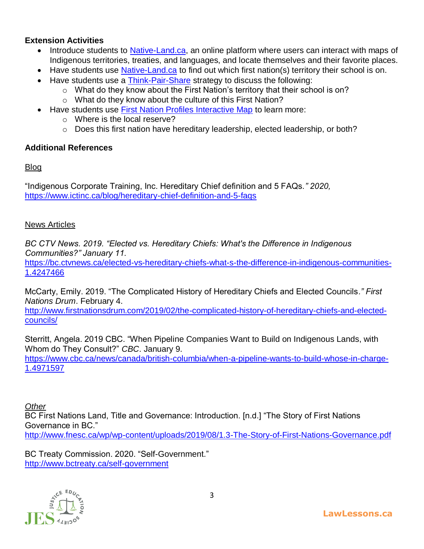### **Extension Activities**

- Introduce students to [Native-Land.ca,](https://native-land.ca/) an online platform where users can interact with maps of Indigenous territories, treaties, and languages, and locate themselves and their favorite places.
- Have students use [Native-Land.ca](https://native-land.ca/) to find out which first nation(s) territory their school is on.
- Have students use a [Think-Pair-Share](https://teaching.utoronto.ca/teaching-support/active-learning-pedagogies/active-learning-adapting-techniques/think-pair-share/) strategy to discuss the following:
	- o What do they know about the First Nation's territory that their school is on?
	- o What do they know about the culture of this First Nation?
- Have students use [First Nation Profiles Interactive Map](https://geo.aadnc-aandc.gc.ca/cippn-fnpim/index-eng.html) to learn more:
	- o Where is the local reserve?
	- o Does this first nation have hereditary leadership, elected leadership, or both?

### **Additional References**

### Blog

"Indigenous Corporate Training, Inc. Hereditary Chief definition and 5 FAQs.*" 2020,*  <https://www.ictinc.ca/blog/hereditary-chief-definition-and-5-faqs>

### News Articles

*BC CTV News. 2019. "Elected vs. Hereditary Chiefs: What's the Difference in Indigenous Communities?" January 11.*

[https://bc.ctvnews.ca/elected-vs-hereditary-chiefs-what-s-the-difference-in-indigenous-communities-](https://bc.ctvnews.ca/elected-vs-hereditary-chiefs-what-s-the-difference-in-indigenous-communities-1.4247466)[1.4247466](https://bc.ctvnews.ca/elected-vs-hereditary-chiefs-what-s-the-difference-in-indigenous-communities-1.4247466)

McCarty, Emily. 2019. "The Complicated History of Hereditary Chiefs and Elected Councils*." First Nations Drum*. February 4.

[http://www.firstnationsdrum.com/2019/02/the-complicated-history-of-hereditary-chiefs-and-elected](http://www.firstnationsdrum.com/2019/02/the-complicated-history-of-hereditary-chiefs-and-elected-councils/)[councils/](http://www.firstnationsdrum.com/2019/02/the-complicated-history-of-hereditary-chiefs-and-elected-councils/)

Sterritt, Angela. 2019 CBC. "When Pipeline Companies Want to Build on Indigenous Lands, with Whom do They Consult?" *CBC*. January 9.

[https://www.cbc.ca/news/canada/british-columbia/when-a-pipeline-wants-to-build-whose-in-charge-](https://www.cbc.ca/news/canada/british-columbia/when-a-pipeline-wants-to-build-whose-in-charge-1.4971597)[1.4971597](https://www.cbc.ca/news/canada/british-columbia/when-a-pipeline-wants-to-build-whose-in-charge-1.4971597)

## *Other*

BC First Nations Land, Title and Governance: Introduction. [n.d.] "The Story of First Nations Governance in BC." <http://www.fnesc.ca/wp/wp-content/uploads/2019/08/1.3-The-Story-of-First-Nations-Governance.pdf>

BC Treaty Commission. 2020. "Self-Government." <http://www.bctreaty.ca/self-government>

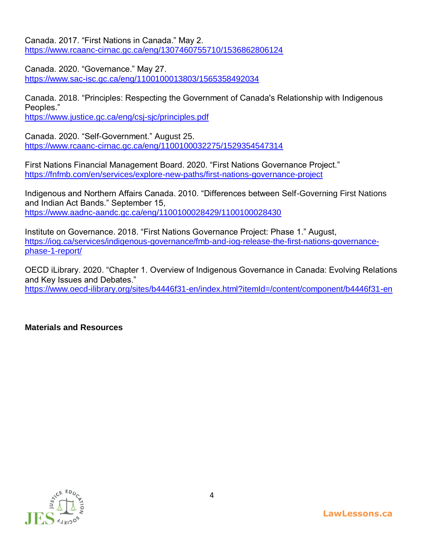Canada. 2017. "First Nations in Canada." May 2. <https://www.rcaanc-cirnac.gc.ca/eng/1307460755710/1536862806124>

Canada. 2020. "Governance." May 27. <https://www.sac-isc.gc.ca/eng/1100100013803/1565358492034>

Canada. 2018. "Principles: Respecting the Government of Canada's Relationship with Indigenous Peoples."

<https://www.justice.gc.ca/eng/csj-sjc/principles.pdf>

Canada. 2020. "Self-Government." August 25. <https://www.rcaanc-cirnac.gc.ca/eng/1100100032275/1529354547314>

First Nations Financial Management Board. 2020. "First Nations Governance Project." <https://fnfmb.com/en/services/explore-new-paths/first-nations-governance-project>

Indigenous and Northern Affairs Canada. 2010. "Differences between Self-Governing First Nations and Indian Act Bands." September 15, <https://www.aadnc-aandc.gc.ca/eng/1100100028429/1100100028430>

Institute on Governance. 2018. "First Nations Governance Project: Phase 1." August, [https://iog.ca/services/indigenous-governance/fmb-and-iog-release-the-first-nations-governance](https://iog.ca/services/indigenous-governance/fmb-and-iog-release-the-first-nations-governance-phase-1-report/)[phase-1-report/](https://iog.ca/services/indigenous-governance/fmb-and-iog-release-the-first-nations-governance-phase-1-report/)

OECD iLibrary. 2020. "Chapter 1. Overview of Indigenous Governance in Canada: Evolving Relations and Key Issues and Debates."

<https://www.oecd-ilibrary.org/sites/b4446f31-en/index.html?itemId=/content/component/b4446f31-en>

#### **Materials and Resources**

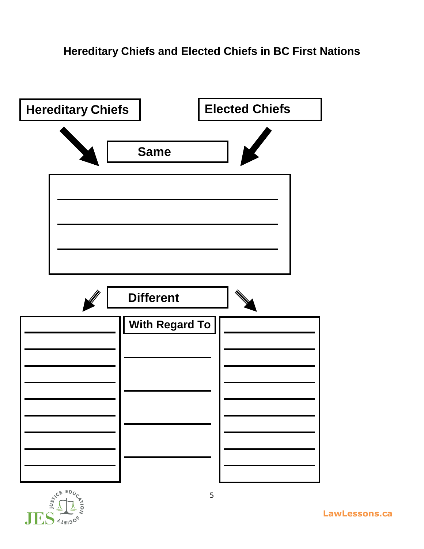



**LawLessons.ca**